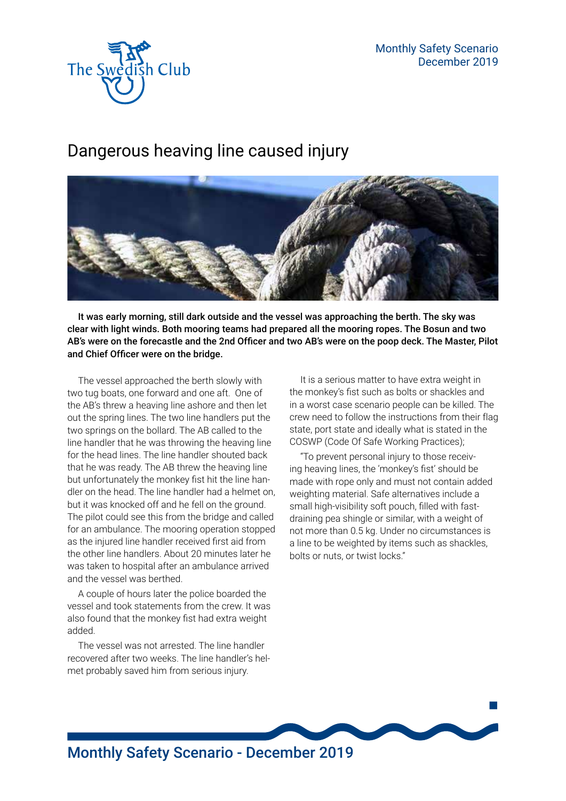

## Dangerous heaving line caused injury



It was early morning, still dark outside and the vessel was approaching the berth. The sky was clear with light winds. Both mooring teams had prepared all the mooring ropes. The Bosun and two AB's were on the forecastle and the 2nd Officer and two AB's were on the poop deck. The Master, Pilot and Chief Officer were on the bridge.

The vessel approached the berth slowly with two tug boats, one forward and one aft. One of the AB's threw a heaving line ashore and then let out the spring lines. The two line handlers put the two springs on the bollard. The AB called to the line handler that he was throwing the heaving line for the head lines. The line handler shouted back that he was ready. The AB threw the heaving line but unfortunately the monkey fist hit the line handler on the head. The line handler had a helmet on, but it was knocked off and he fell on the ground. The pilot could see this from the bridge and called for an ambulance. The mooring operation stopped as the injured line handler received first aid from the other line handlers. About 20 minutes later he was taken to hospital after an ambulance arrived and the vessel was berthed.

A couple of hours later the police boarded the vessel and took statements from the crew. It was also found that the monkey fist had extra weight added.

The vessel was not arrested. The line handler recovered after two weeks. The line handler's helmet probably saved him from serious injury.

It is a serious matter to have extra weight in the monkey's fist such as bolts or shackles and in a worst case scenario people can be killed. The crew need to follow the instructions from their flag state, port state and ideally what is stated in the COSWP (Code Of Safe Working Practices);

"To prevent personal injury to those receiving heaving lines, the 'monkey's fist' should be made with rope only and must not contain added weighting material. Safe alternatives include a small high-visibility soft pouch, filled with fastdraining pea shingle or similar, with a weight of not more than 0.5 kg. Under no circumstances is a line to be weighted by items such as shackles, bolts or nuts, or twist locks."

 $\mathbb{R}^2$ 

## Monthly Safety Scenario - December 2019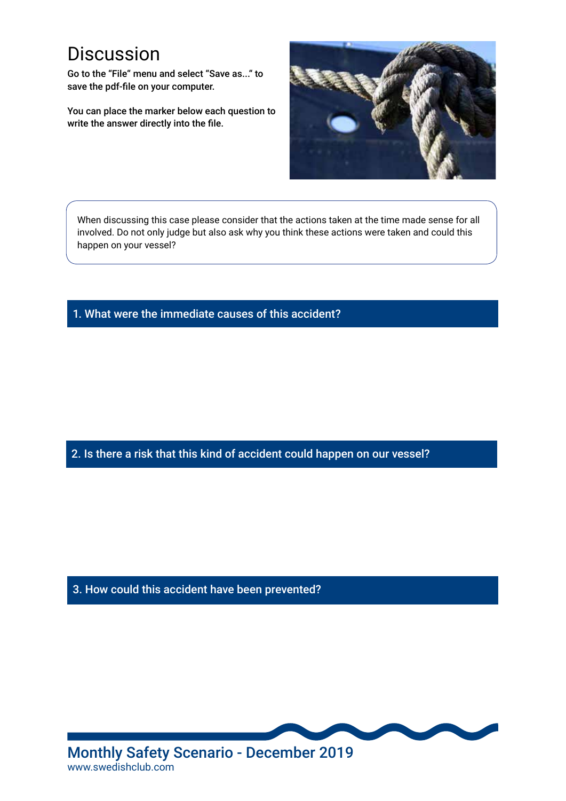## **Discussion**

Go to the "File" menu and select "Save as..." to save the pdf-file on your computer.

You can place the marker below each question to write the answer directly into the file.



When discussing this case please consider that the actions taken at the time made sense for all involved. Do not only judge but also ask why you think these actions were taken and could this happen on your vessel?

1. What were the immediate causes of this accident?

2. Is there a risk that this kind of accident could happen on our vessel?

3. How could this accident have been prevented?



Monthly Safety Scenario - December 2019 www.swedishclub.com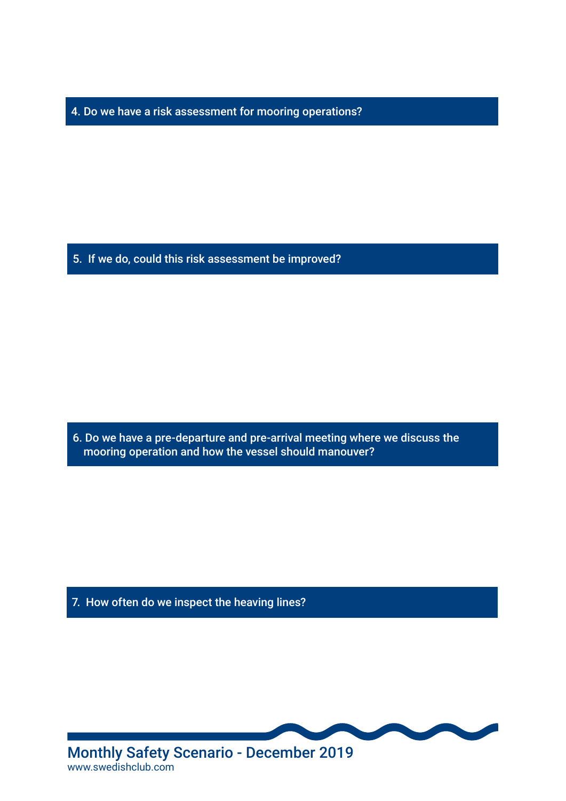4. Do we have a risk assessment for mooring operations?

5. If we do, could this risk assessment be improved?

6. Do we have a pre-departure and pre-arrival meeting where we discuss the mooring operation and how the vessel should manouver?

7. How often do we inspect the heaving lines?



www.swedishclub.com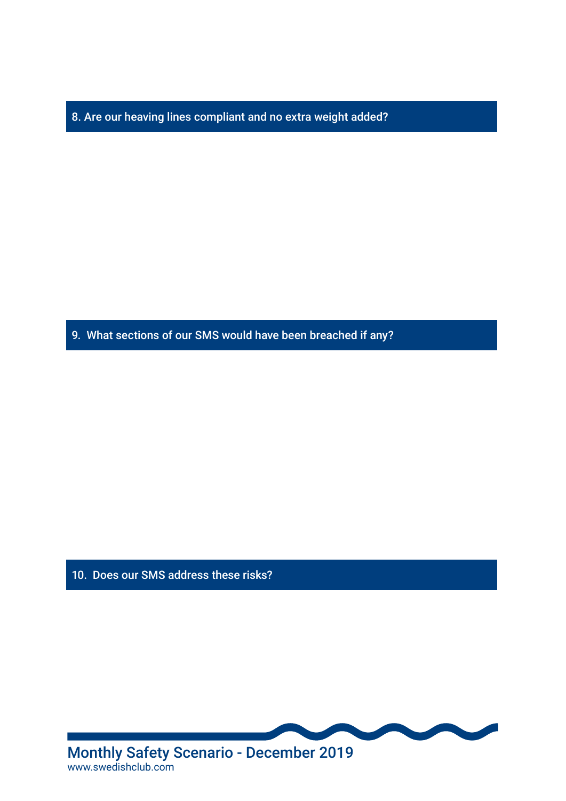8. Are our heaving lines compliant and no extra weight added?

9. What sections of our SMS would have been breached if any?

10. Does our SMS address these risks?



www.swedishclub.com